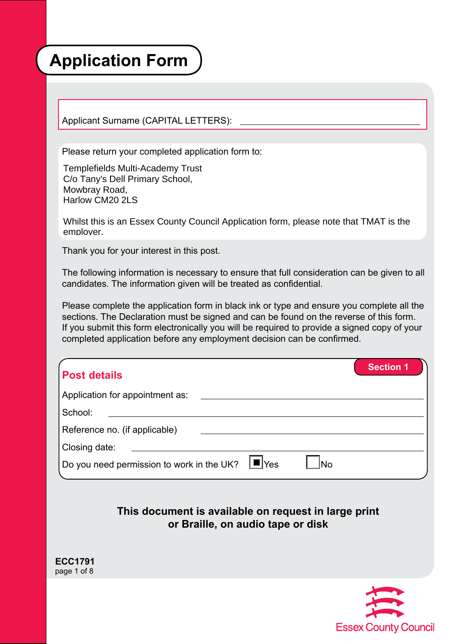# **Application Form**

Applicant Surname (CAPITAL LETTERS):

Please return your completed application form to:

Templefields Multi-Academy Trust C/o Tany's Dell Primary School, Mowbray Road, Harlow CM20 2LS

Whilst this is an Essex County Council Application form, please note that TMAT is the employer.

Thank you for your interest in this post.

The following information is necessary to ensure that full consideration can be given to all candidates. The information given will be treated as confidential.

Please complete the application form in black ink or type and ensure you complete all the sections. The Declaration must be signed and can be found on the reverse of this form. If you submit this form electronically you will be required to provide a signed copy of your completed application before any employment decision can be confirmed.

| <b>Post details</b>                                  |     | <b>Section 1</b> |
|------------------------------------------------------|-----|------------------|
| Application for appointment as:                      |     |                  |
| School:                                              |     |                  |
| Reference no. (if applicable)                        |     |                  |
| Closing date:                                        |     |                  |
| Do you need permission to work in the UK? $\Box$ Yes | 'No |                  |

#### **This document is available on request in large print or Braille, on audio tape or disk**

**ECC1791**  page 1 of 8

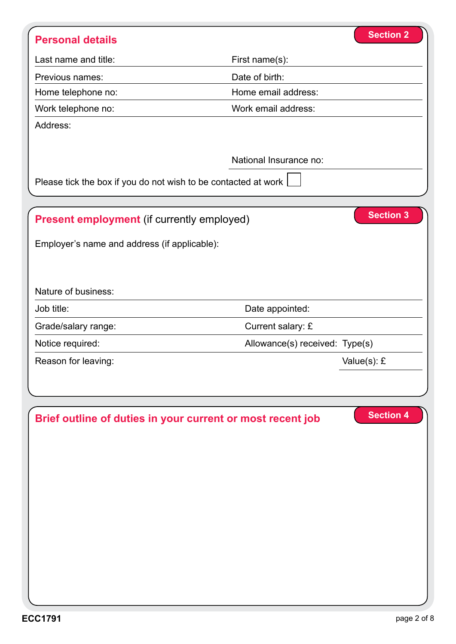| <b>Personal details</b>                                        | <b>Section 2</b>               |
|----------------------------------------------------------------|--------------------------------|
| Last name and title:                                           | First name(s):                 |
| Previous names:                                                | Date of birth:                 |
| Home telephone no:                                             | Home email address:            |
| Work telephone no:                                             | Work email address:            |
| Address:                                                       |                                |
|                                                                |                                |
|                                                                | National Insurance no:         |
| Please tick the box if you do not wish to be contacted at work |                                |
|                                                                |                                |
| <b>Present employment</b> (if currently employed)              | <b>Section 3</b>               |
| Employer's name and address (if applicable):                   |                                |
|                                                                |                                |
|                                                                |                                |
| Nature of business:                                            |                                |
| Job title:                                                     | Date appointed:                |
| Grade/salary range:                                            | Current salary: £              |
| Notice required:                                               | Allowance(s) received: Type(s) |
| Reason for leaving:                                            | Value(s): £                    |
|                                                                |                                |
|                                                                |                                |
|                                                                | <b>Section 4</b>               |
| Brief outline of duties in your current or most recent job     |                                |
|                                                                |                                |
|                                                                |                                |
|                                                                |                                |
|                                                                |                                |
|                                                                |                                |
|                                                                |                                |
|                                                                |                                |
|                                                                |                                |
|                                                                |                                |
|                                                                |                                |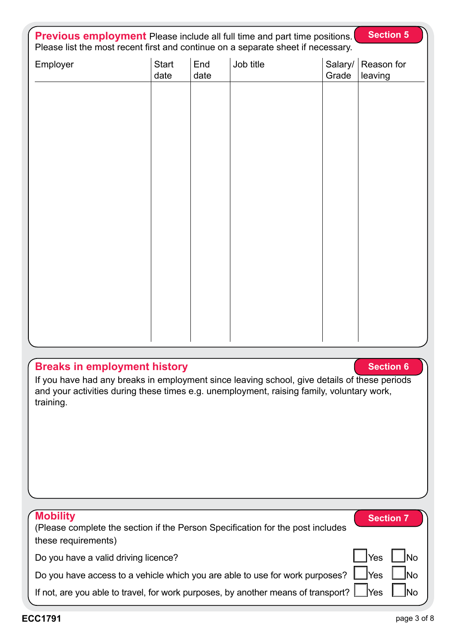| <b>Section 5</b><br><b>Previous employment</b> Please include all full time and part time positions.<br>Please list the most recent first and continue on a separate sheet if necessary. |                      |             |           |                  |                       |
|------------------------------------------------------------------------------------------------------------------------------------------------------------------------------------------|----------------------|-------------|-----------|------------------|-----------------------|
| Employer                                                                                                                                                                                 | <b>Start</b><br>date | End<br>date | Job title | Salary/<br>Grade | Reason for<br>leaving |
|                                                                                                                                                                                          |                      |             |           |                  |                       |
|                                                                                                                                                                                          |                      |             |           |                  |                       |
|                                                                                                                                                                                          |                      |             |           |                  |                       |
|                                                                                                                                                                                          |                      |             |           |                  |                       |
|                                                                                                                                                                                          |                      |             |           |                  |                       |
|                                                                                                                                                                                          |                      |             |           |                  |                       |
|                                                                                                                                                                                          |                      |             |           |                  |                       |
|                                                                                                                                                                                          |                      |             |           |                  |                       |
|                                                                                                                                                                                          |                      |             |           |                  |                       |
|                                                                                                                                                                                          |                      |             |           |                  |                       |
|                                                                                                                                                                                          |                      |             |           |                  |                       |

## **Breaks in employment history**

If you have had any breaks in employment since leaving school, give details of these periods and your activities during these times e.g. unemployment, raising family, voluntary work, training.

| <b>Mobility</b><br>(Please complete the section if the Person Specification for the post includes<br>these requirements) |             | <b>Section 7</b> |
|--------------------------------------------------------------------------------------------------------------------------|-------------|------------------|
| Do you have a valid driving licence?                                                                                     | $\vert$ Yes | <u>INo</u>       |
| Do you have access to a vehicle which you are able to use for work purposes? $\Box$ Yes $\Box$                           |             | _lNo             |
| If not, are you able to travel, for work purposes, by another means of transport? $\Box$ Yes                             |             | _INo             |

**Section 6**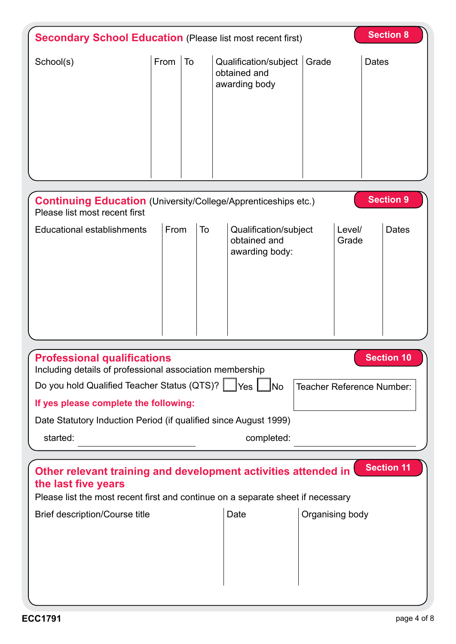| <b>Section 8</b><br><b>Secondary School Education (Please list most recent first)</b>                                                                                                                             |      |    |                                                         |                 |                                 |
|-------------------------------------------------------------------------------------------------------------------------------------------------------------------------------------------------------------------|------|----|---------------------------------------------------------|-----------------|---------------------------------|
| School(s)                                                                                                                                                                                                         | From | To | Qualification/subject<br>obtained and<br>awarding body  | Grade           | <b>Dates</b>                    |
| <b>Continuing Education</b> (University/College/Apprenticeships etc.)<br>Please list most recent first                                                                                                            |      |    |                                                         |                 | <b>Section 9</b>                |
| <b>Educational establishments</b>                                                                                                                                                                                 | From | To | Qualification/subject<br>obtained and<br>awarding body: |                 | <b>Dates</b><br>Level/<br>Grade |
| <b>Professional qualifications</b>                                                                                                                                                                                |      |    |                                                         |                 | <b>Section 10</b>               |
| Including details of professional association membership                                                                                                                                                          |      |    |                                                         |                 |                                 |
| Do you hold Qualified Teacher Status (QTS)?   Yes   No<br><b>Teacher Reference Number:</b>                                                                                                                        |      |    |                                                         |                 |                                 |
| If yes please complete the following:                                                                                                                                                                             |      |    |                                                         |                 |                                 |
| Date Statutory Induction Period (if qualified since August 1999)                                                                                                                                                  |      |    |                                                         |                 |                                 |
| started:<br>completed:                                                                                                                                                                                            |      |    |                                                         |                 |                                 |
| Other relevant training and development activities attended in<br>the last five years<br>Please list the most recent first and continue on a separate sheet if necessary<br><b>Brief description/Course title</b> |      |    | Date                                                    | Organising body | <b>Section 11</b>               |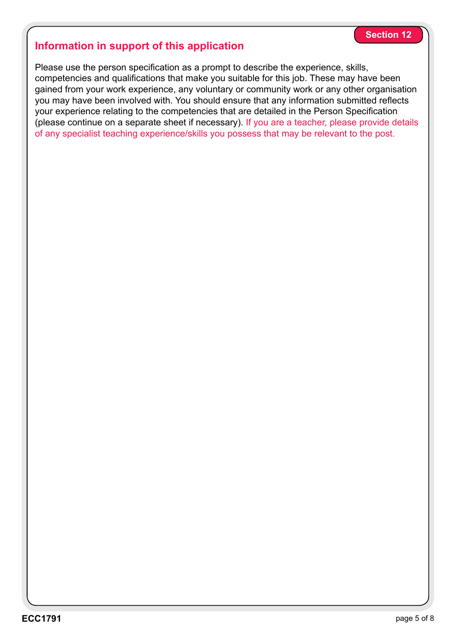#### **Information in support of this application**

Please use the person specification as a prompt to describe the experience, skills, competencies and qualifications that make you suitable for this job. These may have been gained from your work experience, any voluntary or community work or any other organisation you may have been involved with. You should ensure that any information submitted reflects your experience relating to the competencies that are detailed in the Person Specification (please continue on a separate sheet if necessary). If you are a teacher, please provide details of any specialist teaching experience/skills you possess that may be relevant to the post.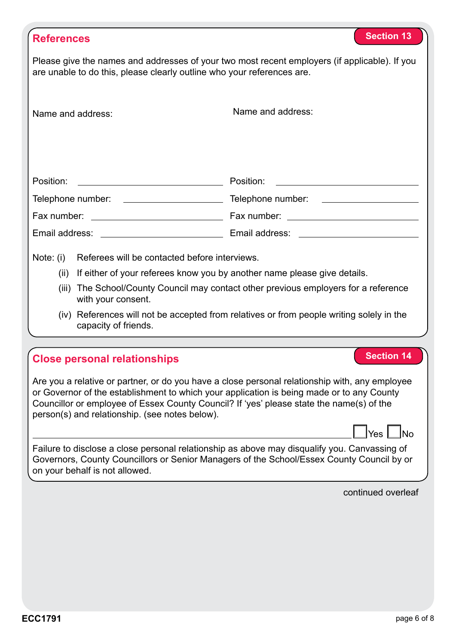| <b>References</b>                                                                                                                                                                                                                                                                                                                                                             | <b>Section 13</b>                                                |  |  |
|-------------------------------------------------------------------------------------------------------------------------------------------------------------------------------------------------------------------------------------------------------------------------------------------------------------------------------------------------------------------------------|------------------------------------------------------------------|--|--|
| Please give the names and addresses of your two most recent employers (if applicable). If you<br>are unable to do this, please clearly outline who your references are.                                                                                                                                                                                                       |                                                                  |  |  |
| Name and address:                                                                                                                                                                                                                                                                                                                                                             | Name and address:                                                |  |  |
| Position:<br><u> 2002 - John Stone, Amerikan besteht der Stone (</u>                                                                                                                                                                                                                                                                                                          | Position:<br><u> 1989 - Andrea Station Barbara, amerikan per</u> |  |  |
|                                                                                                                                                                                                                                                                                                                                                                               |                                                                  |  |  |
|                                                                                                                                                                                                                                                                                                                                                                               |                                                                  |  |  |
| Email address: Email and the state of the state of the state of the state of the state of the state of the state of the state of the state of the state of the state of the state of the state of the state of the state of th                                                                                                                                                |                                                                  |  |  |
| Referees will be contacted before interviews.<br>Note: (i)<br>(ii) If either of your referees know you by another name please give details.<br>(iii) The School/County Council may contact other previous employers for a reference<br>with your consent.<br>(iv) References will not be accepted from relatives or from people writing solely in the<br>capacity of friends. |                                                                  |  |  |
| <b>Close personal relationships</b>                                                                                                                                                                                                                                                                                                                                           | <b>Section 14</b>                                                |  |  |
| Are you a relative or partner, or do you have a close personal relationship with, any employee<br>or Governor of the establishment to which your application is being made or to any County<br>Councillor or employee of Essex County Council? If 'yes' please state the name(s) of the<br>person(s) and relationship. (see notes below).<br>$ Yes $ $ No $                   |                                                                  |  |  |
| Failure to disclose a close personal relationship as above may disqualify you. Canvassing of<br>Governors, County Councillors or Senior Managers of the School/Essex County Council by or<br>on your behalf is not allowed.                                                                                                                                                   |                                                                  |  |  |
|                                                                                                                                                                                                                                                                                                                                                                               | continued overleaf                                               |  |  |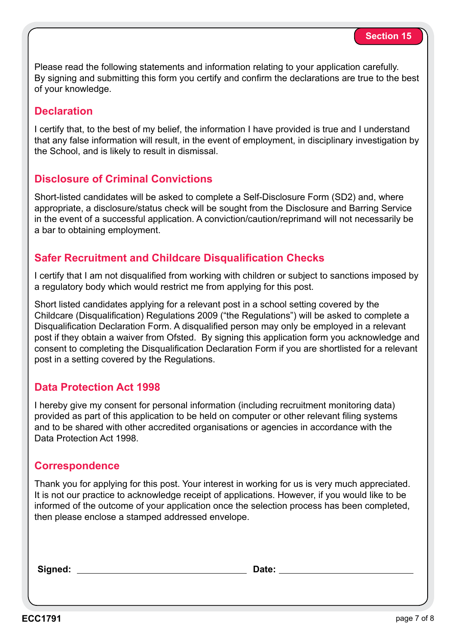Please read the following statements and information relating to your application carefully. By signing and submitting this form you certify and confirm the declarations are true to the best of your knowledge.

#### **Declaration**

I certify that, to the best of my belief, the information I have provided is true and I understand that any false information will result, in the event of employment, in disciplinary investigation by the School, and is likely to result in dismissal.

#### **Disclosure of Criminal Convictions**

Short-listed candidates will be asked to complete a Self-Disclosure Form (SD2) and, where appropriate, a disclosure/status check will be sought from the Disclosure and Barring Service in the event of a successful application. A conviction/caution/reprimand will not necessarily be a bar to obtaining employment.

#### **Safer Recruitment and Childcare Disqualification Checks**

I certify that I am not disqualified from working with children or subject to sanctions imposed by a regulatory body which would restrict me from applying for this post.

Short listed candidates applying for a relevant post in a school setting covered by the Childcare (Disqualification) Regulations 2009 ("the Regulations") will be asked to complete a Disqualification Declaration Form. A disqualified person may only be employed in a relevant post if they obtain a waiver from Ofsted. By signing this application form you acknowledge and consent to completing the Disqualification Declaration Form if you are shortlisted for a relevant post in a setting covered by the Regulations.

#### **Data Protection Act 1998**

I hereby give my consent for personal information (including recruitment monitoring data) provided as part of this application to be held on computer or other relevant filing systems and to be shared with other accredited organisations or agencies in accordance with the Data Protection Act 1998.

#### **Correspondence**

Thank you for applying for this post. Your interest in working for us is very much appreciated. It is not our practice to acknowledge receipt of applications. However, if you would like to be informed of the outcome of your application once the selection process has been completed, then please enclose a stamped addressed envelope.

**Signed: Date:**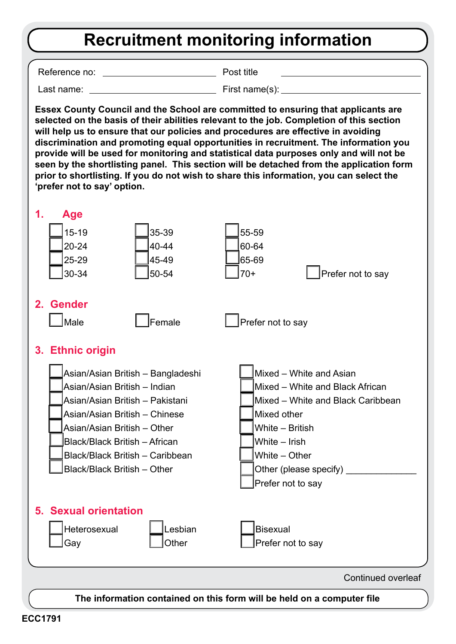## **Recruitment monitoring information**

Reference no: Post title

Last name: Eirst name(s):

**Essex County Council and the School are committed to ensuring that applicants are selected on the basis of their abilities relevant to the job. Completion of this section will help us to ensure that our policies and procedures are effective in avoiding discrimination and promoting equal opportunities in recruitment. The information you provide will be used for monitoring and statistical data purposes only and will not be seen by the shortlisting panel. This section will be detached from the application form prior to shortlisting. If you do not wish to share this information, you can select the 'prefer not to say' option.**



Continued overleaf

**The information contained on this form will be held on a computer file**